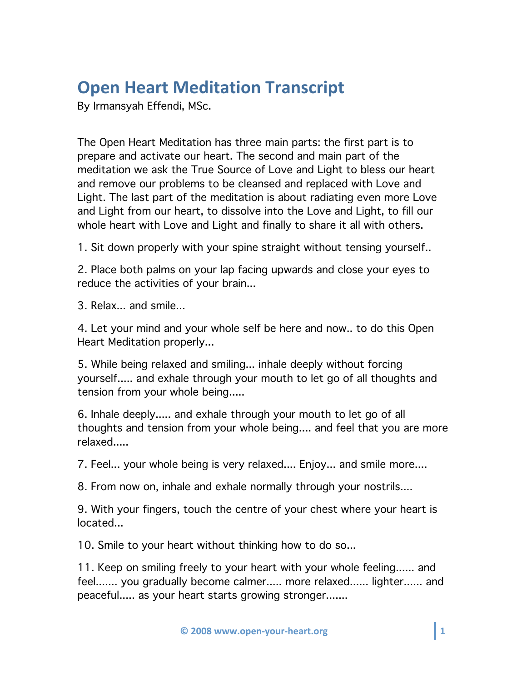## **Open
Heart
Meditation
Transcript**

By Irmansyah Effendi, MSc.

The Open Heart Meditation has three main parts: the first part is to prepare and activate our heart. The second and main part of the meditation we ask the True Source of Love and Light to bless our heart and remove our problems to be cleansed and replaced with Love and Light. The last part of the meditation is about radiating even more Love and Light from our heart, to dissolve into the Love and Light, to fill our whole heart with Love and Light and finally to share it all with others.

1. Sit down properly with your spine straight without tensing yourself..

2. Place both palms on your lap facing upwards and close your eyes to reduce the activities of your brain...

3. Relax... and smile...

4. Let your mind and your whole self be here and now.. to do this Open Heart Meditation properly...

5. While being relaxed and smiling... inhale deeply without forcing yourself..... and exhale through your mouth to let go of all thoughts and tension from your whole being.....

6. Inhale deeply..... and exhale through your mouth to let go of all thoughts and tension from your whole being.... and feel that you are more relaxed.....

7. Feel... your whole being is very relaxed.... Enjoy... and smile more....

8. From now on, inhale and exhale normally through your nostrils....

9. With your fingers, touch the centre of your chest where your heart is located...

10. Smile to your heart without thinking how to do so...

11. Keep on smiling freely to your heart with your whole feeling...... and feel....... you gradually become calmer..... more relaxed...... lighter...... and peaceful..... as your heart starts growing stronger.......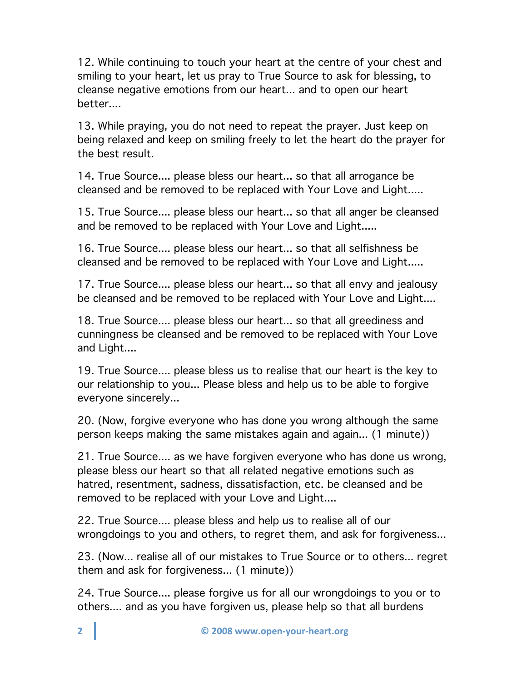12. While continuing to touch your heart at the centre of your chest and smiling to your heart, let us pray to True Source to ask for blessing, to cleanse negative emotions from our heart... and to open our heart better....

13. While praying, you do not need to repeat the prayer. Just keep on being relaxed and keep on smiling freely to let the heart do the prayer for the best result.

14. True Source.... please bless our heart... so that all arrogance be cleansed and be removed to be replaced with Your Love and Light.....

15. True Source.... please bless our heart... so that all anger be cleansed and be removed to be replaced with Your Love and Light.....

16. True Source.... please bless our heart... so that all selfishness be cleansed and be removed to be replaced with Your Love and Light.....

17. True Source.... please bless our heart... so that all envy and jealousy be cleansed and be removed to be replaced with Your Love and Light....

18. True Source.... please bless our heart... so that all greediness and cunningness be cleansed and be removed to be replaced with Your Love and Light....

19. True Source.... please bless us to realise that our heart is the key to our relationship to you... Please bless and help us to be able to forgive everyone sincerely...

20. (Now, forgive everyone who has done you wrong although the same person keeps making the same mistakes again and again... (1 minute))

21. True Source.... as we have forgiven everyone who has done us wrong, please bless our heart so that all related negative emotions such as hatred, resentment, sadness, dissatisfaction, etc. be cleansed and be removed to be replaced with your Love and Light....

22. True Source.... please bless and help us to realise all of our wrongdoings to you and others, to regret them, and ask for forgiveness...

23. (Now... realise all of our mistakes to True Source or to others... regret them and ask for forgiveness... (1 minute))

24. True Source.... please forgive us for all our wrongdoings to you or to others.... and as you have forgiven us, please help so that all burdens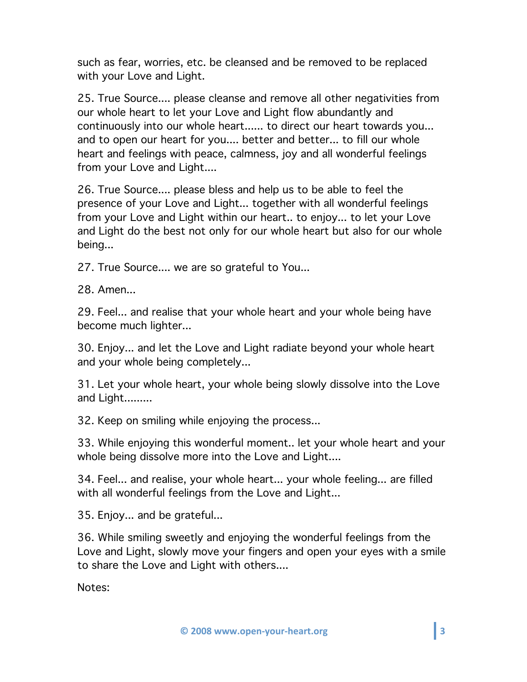such as fear, worries, etc. be cleansed and be removed to be replaced with your Love and Light.

25. True Source.... please cleanse and remove all other negativities from our whole heart to let your Love and Light flow abundantly and continuously into our whole heart...... to direct our heart towards you... and to open our heart for you.... better and better... to fill our whole heart and feelings with peace, calmness, joy and all wonderful feelings from your Love and Light....

26. True Source.... please bless and help us to be able to feel the presence of your Love and Light... together with all wonderful feelings from your Love and Light within our heart.. to enjoy... to let your Love and Light do the best not only for our whole heart but also for our whole being...

27. True Source.... we are so grateful to You...

28. Amen...

29. Feel... and realise that your whole heart and your whole being have become much lighter...

30. Enjoy... and let the Love and Light radiate beyond your whole heart and your whole being completely...

31. Let your whole heart, your whole being slowly dissolve into the Love and Light.........

32. Keep on smiling while enjoying the process...

33. While enjoying this wonderful moment.. let your whole heart and your whole being dissolve more into the Love and Light....

34. Feel... and realise, your whole heart... your whole feeling... are filled with all wonderful feelings from the Love and Light...

35. Enjoy... and be grateful...

36. While smiling sweetly and enjoying the wonderful feelings from the Love and Light, slowly move your fingers and open your eyes with a smile to share the Love and Light with others....

Notes: